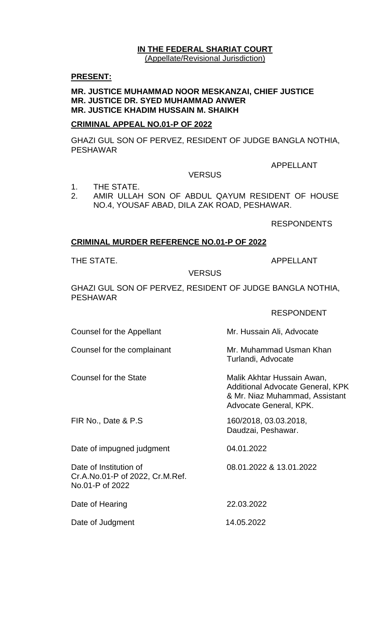#### **IN THE FEDERAL SHARIAT COURT** (Appellate/Revisional Jurisdiction)

#### **PRESENT:**

#### **MR. JUSTICE MUHAMMAD NOOR MESKANZAI, CHIEF JUSTICE MR. JUSTICE DR. SYED MUHAMMAD ANWER MR. JUSTICE KHADIM HUSSAIN M. SHAIKH**

# **CRIMINAL APPEAL NO.01-P OF 2022**

GHAZI GUL SON OF PERVEZ, RESIDENT OF JUDGE BANGLA NOTHIA, PESHAWAR

APPELLANT

**VERSUS** 

- 1. THE STATE.
- 2. AMIR ULLAH SON OF ABDUL QAYUM RESIDENT OF HOUSE NO.4, YOUSAF ABAD, DILA ZAK ROAD, PESHAWAR.

RESPONDENTS

## **CRIMINAL MURDER REFERENCE NO.01-P OF 2022**

THE STATE. THE STATE APPELLANT

#### VERSUS

GHAZI GUL SON OF PERVEZ, RESIDENT OF JUDGE BANGLA NOTHIA, PESHAWAR

## RESPONDENT

Counsel for the Appellant Mr. Hussain Ali, Advocate

Counsel for the complainant Mr. Muhammad Usman Khan

Date of impugned judgment 04.01.2022

Date of Institution of 08.01.2022 & 13.01.2022 Cr.A.No.01-P of 2022, Cr.M.Ref. No.01-P of 2022

Date of Hearing 22.03.2022

Date of Judgment 14.05.2022

Turlandi, Advocate

Counsel for the State Malik Akhtar Hussain Awan, Additional Advocate General, KPK & Mr. Niaz Muhammad, Assistant Advocate General, KPK.

FIR No., Date & P.S 160/2018, 03.03.2018, Daudzai, Peshawar.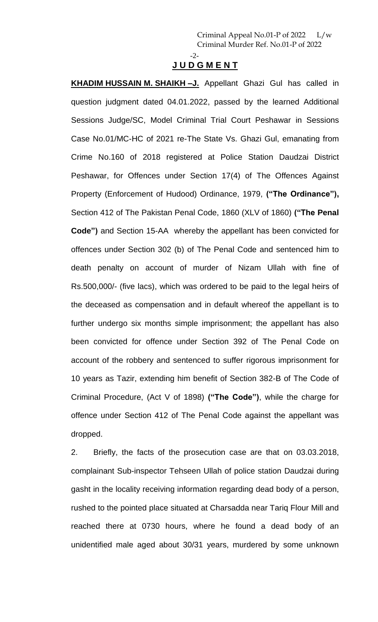#### -2- **J U D G M E N T**

**KHADIM HUSSAIN M. SHAIKH –J.** Appellant Ghazi Gul has called in question judgment dated 04.01.2022, passed by the learned Additional Sessions Judge/SC, Model Criminal Trial Court Peshawar in Sessions Case No.01/MC-HC of 2021 re-The State Vs. Ghazi Gul, emanating from Crime No.160 of 2018 registered at Police Station Daudzai District Peshawar, for Offences under Section 17(4) of The Offences Against Property (Enforcement of Hudood) Ordinance, 1979, **("The Ordinance"),** Section 412 of The Pakistan Penal Code, 1860 (XLV of 1860) **("The Penal Code")** and Section 15-AA whereby the appellant has been convicted for offences under Section 302 (b) of The Penal Code and sentenced him to death penalty on account of murder of Nizam Ullah with fine of Rs.500,000/- (five lacs), which was ordered to be paid to the legal heirs of the deceased as compensation and in default whereof the appellant is to further undergo six months simple imprisonment; the appellant has also been convicted for offence under Section 392 of The Penal Code on account of the robbery and sentenced to suffer rigorous imprisonment for 10 years as Tazir, extending him benefit of Section 382-B of The Code of Criminal Procedure, (Act V of 1898) **("The Code")**, while the charge for offence under Section 412 of The Penal Code against the appellant was dropped.

2. Briefly, the facts of the prosecution case are that on 03.03.2018, complainant Sub-inspector Tehseen Ullah of police station Daudzai during gasht in the locality receiving information regarding dead body of a person, rushed to the pointed place situated at Charsadda near Tariq Flour Mill and reached there at 0730 hours, where he found a dead body of an unidentified male aged about 30/31 years, murdered by some unknown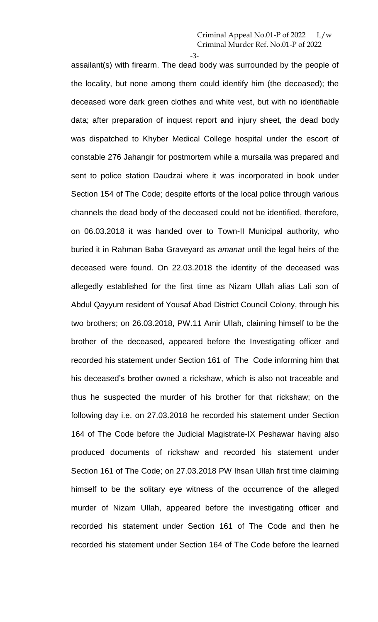-3 assailant(s) with firearm. The dead body was surrounded by the people of the locality, but none among them could identify him (the deceased); the deceased wore dark green clothes and white vest, but with no identifiable data; after preparation of inquest report and injury sheet, the dead body was dispatched to Khyber Medical College hospital under the escort of constable 276 Jahangir for postmortem while a mursaila was prepared and sent to police station Daudzai where it was incorporated in book under Section 154 of The Code; despite efforts of the local police through various channels the dead body of the deceased could not be identified, therefore, on 06.03.2018 it was handed over to Town-II Municipal authority, who buried it in Rahman Baba Graveyard as *amanat* until the legal heirs of the deceased were found. On 22.03.2018 the identity of the deceased was allegedly established for the first time as Nizam Ullah alias Lali son of Abdul Qayyum resident of Yousaf Abad District Council Colony, through his two brothers; on 26.03.2018, PW.11 Amir Ullah, claiming himself to be the brother of the deceased, appeared before the Investigating officer and recorded his statement under Section 161 of The Code informing him that his deceased's brother owned a rickshaw, which is also not traceable and thus he suspected the murder of his brother for that rickshaw; on the following day i.e. on 27.03.2018 he recorded his statement under Section 164 of The Code before the Judicial Magistrate-IX Peshawar having also produced documents of rickshaw and recorded his statement under Section 161 of The Code; on 27.03.2018 PW Ihsan Ullah first time claiming himself to be the solitary eye witness of the occurrence of the alleged murder of Nizam Ullah, appeared before the investigating officer and recorded his statement under Section 161 of The Code and then he recorded his statement under Section 164 of The Code before the learned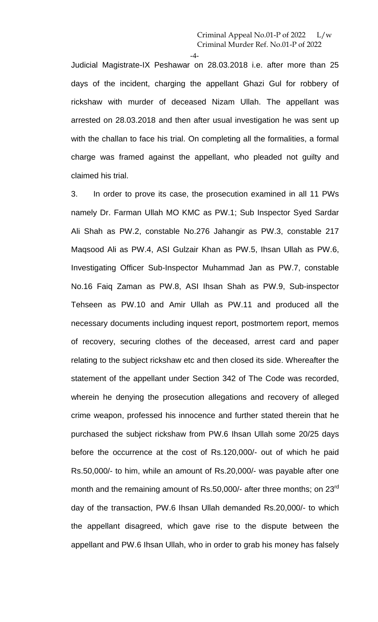-4-

Judicial Magistrate-IX Peshawar on 28.03.2018 i.e. after more than 25 days of the incident, charging the appellant Ghazi Gul for robbery of rickshaw with murder of deceased Nizam Ullah. The appellant was arrested on 28.03.2018 and then after usual investigation he was sent up with the challan to face his trial. On completing all the formalities, a formal charge was framed against the appellant, who pleaded not guilty and claimed his trial.

3. In order to prove its case, the prosecution examined in all 11 PWs namely Dr. Farman Ullah MO KMC as PW.1; Sub Inspector Syed Sardar Ali Shah as PW.2, constable No.276 Jahangir as PW.3, constable 217 Maqsood Ali as PW.4, ASI Gulzair Khan as PW.5, Ihsan Ullah as PW.6, Investigating Officer Sub-Inspector Muhammad Jan as PW.7, constable No.16 Faiq Zaman as PW.8, ASI Ihsan Shah as PW.9, Sub-inspector Tehseen as PW.10 and Amir Ullah as PW.11 and produced all the necessary documents including inquest report, postmortem report, memos of recovery, securing clothes of the deceased, arrest card and paper relating to the subject rickshaw etc and then closed its side. Whereafter the statement of the appellant under Section 342 of The Code was recorded, wherein he denying the prosecution allegations and recovery of alleged crime weapon, professed his innocence and further stated therein that he purchased the subject rickshaw from PW.6 Ihsan Ullah some 20/25 days before the occurrence at the cost of Rs.120,000/- out of which he paid Rs.50,000/- to him, while an amount of Rs.20,000/- was payable after one month and the remaining amount of Rs.50,000/- after three months; on 23<sup>rd</sup> day of the transaction, PW.6 Ihsan Ullah demanded Rs.20,000/- to which the appellant disagreed, which gave rise to the dispute between the appellant and PW.6 Ihsan Ullah, who in order to grab his money has falsely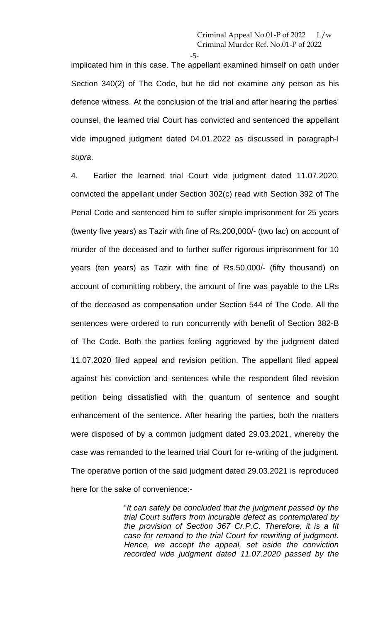-5-

implicated him in this case. The appellant examined himself on oath under Section 340(2) of The Code, but he did not examine any person as his defence witness. At the conclusion of the trial and after hearing the parties' counsel, the learned trial Court has convicted and sentenced the appellant vide impugned judgment dated 04.01.2022 as discussed in paragraph-I *supra*.

4. Earlier the learned trial Court vide judgment dated 11.07.2020, convicted the appellant under Section 302(c) read with Section 392 of The Penal Code and sentenced him to suffer simple imprisonment for 25 years (twenty five years) as Tazir with fine of Rs.200,000/- (two lac) on account of murder of the deceased and to further suffer rigorous imprisonment for 10 years (ten years) as Tazir with fine of Rs.50,000/- (fifty thousand) on account of committing robbery, the amount of fine was payable to the LRs of the deceased as compensation under Section 544 of The Code. All the sentences were ordered to run concurrently with benefit of Section 382-B of The Code. Both the parties feeling aggrieved by the judgment dated 11.07.2020 filed appeal and revision petition. The appellant filed appeal against his conviction and sentences while the respondent filed revision petition being dissatisfied with the quantum of sentence and sought enhancement of the sentence. After hearing the parties, both the matters were disposed of by a common judgment dated 29.03.2021, whereby the case was remanded to the learned trial Court for re-writing of the judgment. The operative portion of the said judgment dated 29.03.2021 is reproduced here for the sake of convenience:-

> "*It can safely be concluded that the judgment passed by the trial Court suffers from incurable defect as contemplated by the provision of Section 367 Cr.P.C. Therefore, it is a fit case for remand to the trial Court for rewriting of judgment. Hence, we accept the appeal, set aside the conviction recorded vide judgment dated 11.07.2020 passed by the*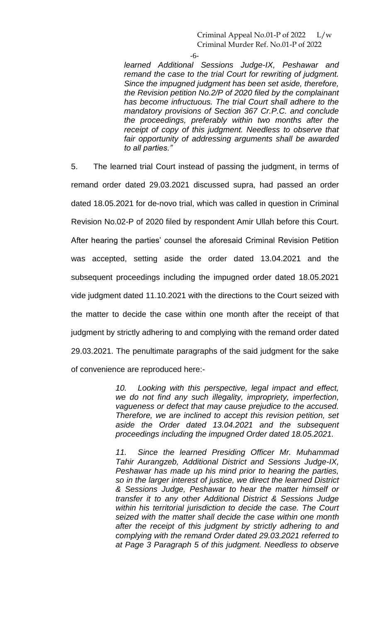-6-

*learned Additional Sessions Judge-IX, Peshawar and remand the case to the trial Court for rewriting of judgment. Since the impugned judgment has been set aside, therefore, the Revision petition No.2/P of 2020 filed by the complainant has become infructuous. The trial Court shall adhere to the mandatory provisions of Section 367 Cr.P.C. and conclude the proceedings, preferably within two months after the receipt of copy of this judgment. Needless to observe that fair opportunity of addressing arguments shall be awarded to all parties."*

5. The learned trial Court instead of passing the judgment, in terms of remand order dated 29.03.2021 discussed supra, had passed an order dated 18.05.2021 for de-novo trial, which was called in question in Criminal Revision No.02-P of 2020 filed by respondent Amir Ullah before this Court. After hearing the parties' counsel the aforesaid Criminal Revision Petition was accepted, setting aside the order dated 13.04.2021 and the subsequent proceedings including the impugned order dated 18.05.2021 vide judgment dated 11.10.2021 with the directions to the Court seized with the matter to decide the case within one month after the receipt of that judgment by strictly adhering to and complying with the remand order dated 29.03.2021. The penultimate paragraphs of the said judgment for the sake of convenience are reproduced here:-

> *10. Looking with this perspective, legal impact and effect, we do not find any such illegality, impropriety, imperfection, vagueness or defect that may cause prejudice to the accused. Therefore, we are inclined to accept this revision petition, set aside the Order dated 13.04.2021 and the subsequent proceedings including the impugned Order dated 18.05.2021.*

> *11. Since the learned Presiding Officer Mr. Muhammad Tahir Aurangzeb, Additional District and Sessions Judge-IX, Peshawar has made up his mind prior to hearing the parties, so in the larger interest of justice, we direct the learned District & Sessions Judge, Peshawar to hear the matter himself or transfer it to any other Additional District & Sessions Judge within his territorial jurisdiction to decide the case. The Court seized with the matter shall decide the case within one month after the receipt of this judgment by strictly adhering to and complying with the remand Order dated 29.03.2021 referred to at Page 3 Paragraph 5 of this judgment. Needless to observe*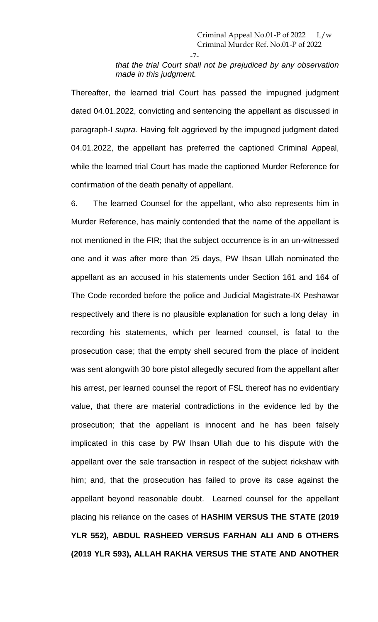-7-

*that the trial Court shall not be prejudiced by any observation made in this judgment.* 

Thereafter, the learned trial Court has passed the impugned judgment dated 04.01.2022, convicting and sentencing the appellant as discussed in paragraph-I *supra.* Having felt aggrieved by the impugned judgment dated 04.01.2022, the appellant has preferred the captioned Criminal Appeal, while the learned trial Court has made the captioned Murder Reference for confirmation of the death penalty of appellant.

6. The learned Counsel for the appellant, who also represents him in Murder Reference, has mainly contended that the name of the appellant is not mentioned in the FIR; that the subject occurrence is in an un-witnessed one and it was after more than 25 days, PW Ihsan Ullah nominated the appellant as an accused in his statements under Section 161 and 164 of The Code recorded before the police and Judicial Magistrate-IX Peshawar respectively and there is no plausible explanation for such a long delay in recording his statements, which per learned counsel, is fatal to the prosecution case; that the empty shell secured from the place of incident was sent alongwith 30 bore pistol allegedly secured from the appellant after his arrest, per learned counsel the report of FSL thereof has no evidentiary value, that there are material contradictions in the evidence led by the prosecution; that the appellant is innocent and he has been falsely implicated in this case by PW Ihsan Ullah due to his dispute with the appellant over the sale transaction in respect of the subject rickshaw with him; and, that the prosecution has failed to prove its case against the appellant beyond reasonable doubt. Learned counsel for the appellant placing his reliance on the cases of **HASHIM VERSUS THE STATE (2019 YLR 552), ABDUL RASHEED VERSUS FARHAN ALI AND 6 OTHERS (2019 YLR 593), ALLAH RAKHA VERSUS THE STATE AND ANOTHER**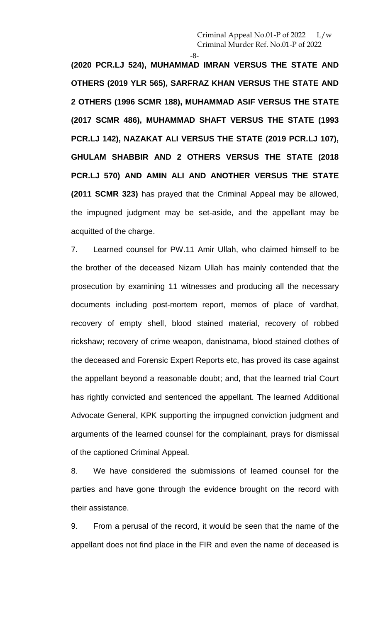-8-

**(2020 PCR.LJ 524), MUHAMMAD IMRAN VERSUS THE STATE AND OTHERS (2019 YLR 565), SARFRAZ KHAN VERSUS THE STATE AND 2 OTHERS (1996 SCMR 188), MUHAMMAD ASIF VERSUS THE STATE (2017 SCMR 486), MUHAMMAD SHAFT VERSUS THE STATE (1993 PCR.LJ 142), NAZAKAT ALI VERSUS THE STATE (2019 PCR.LJ 107), GHULAM SHABBIR AND 2 OTHERS VERSUS THE STATE (2018 PCR.LJ 570) AND AMIN ALI AND ANOTHER VERSUS THE STATE (2011 SCMR 323)** has prayed that the Criminal Appeal may be allowed, the impugned judgment may be set-aside, and the appellant may be acquitted of the charge.

7. Learned counsel for PW.11 Amir Ullah, who claimed himself to be the brother of the deceased Nizam Ullah has mainly contended that the prosecution by examining 11 witnesses and producing all the necessary documents including post-mortem report, memos of place of vardhat, recovery of empty shell, blood stained material, recovery of robbed rickshaw; recovery of crime weapon, danistnama, blood stained clothes of the deceased and Forensic Expert Reports etc, has proved its case against the appellant beyond a reasonable doubt; and, that the learned trial Court has rightly convicted and sentenced the appellant. The learned Additional Advocate General, KPK supporting the impugned conviction judgment and arguments of the learned counsel for the complainant, prays for dismissal of the captioned Criminal Appeal.

8. We have considered the submissions of learned counsel for the parties and have gone through the evidence brought on the record with their assistance.

9. From a perusal of the record, it would be seen that the name of the appellant does not find place in the FIR and even the name of deceased is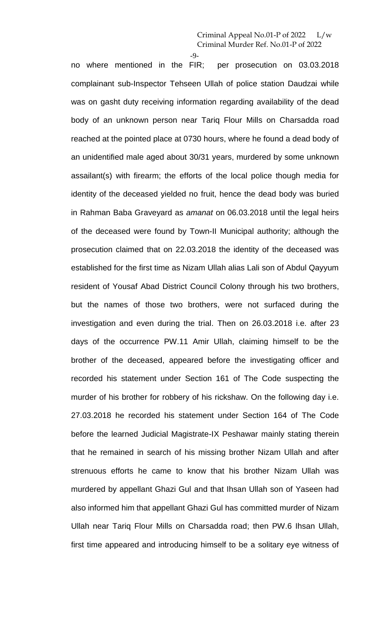-9-

no where mentioned in the FIR; per prosecution on 03.03.2018 complainant sub-Inspector Tehseen Ullah of police station Daudzai while was on gasht duty receiving information regarding availability of the dead body of an unknown person near Tariq Flour Mills on Charsadda road reached at the pointed place at 0730 hours, where he found a dead body of an unidentified male aged about 30/31 years, murdered by some unknown assailant(s) with firearm; the efforts of the local police though media for identity of the deceased yielded no fruit, hence the dead body was buried in Rahman Baba Graveyard as *amanat* on 06.03.2018 until the legal heirs of the deceased were found by Town-II Municipal authority; although the prosecution claimed that on 22.03.2018 the identity of the deceased was established for the first time as Nizam Ullah alias Lali son of Abdul Qayyum resident of Yousaf Abad District Council Colony through his two brothers, but the names of those two brothers, were not surfaced during the investigation and even during the trial. Then on 26.03.2018 i.e. after 23 days of the occurrence PW.11 Amir Ullah, claiming himself to be the brother of the deceased, appeared before the investigating officer and recorded his statement under Section 161 of The Code suspecting the murder of his brother for robbery of his rickshaw. On the following day i.e. 27.03.2018 he recorded his statement under Section 164 of The Code before the learned Judicial Magistrate-IX Peshawar mainly stating therein that he remained in search of his missing brother Nizam Ullah and after strenuous efforts he came to know that his brother Nizam Ullah was murdered by appellant Ghazi Gul and that Ihsan Ullah son of Yaseen had also informed him that appellant Ghazi Gul has committed murder of Nizam Ullah near Tariq Flour Mills on Charsadda road; then PW.6 Ihsan Ullah, first time appeared and introducing himself to be a solitary eye witness of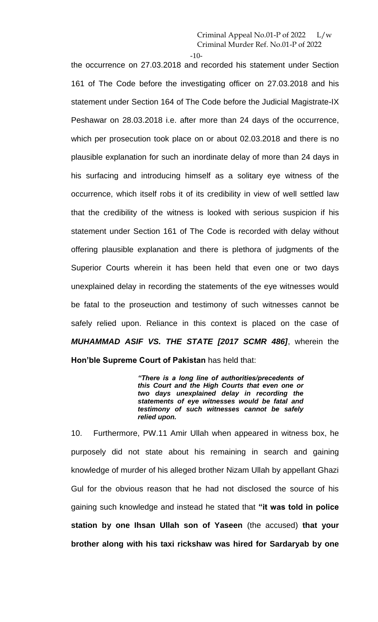$-10-$ 

the occurrence on 27.03.2018 and recorded his statement under Section 161 of The Code before the investigating officer on 27.03.2018 and his statement under Section 164 of The Code before the Judicial Magistrate-IX Peshawar on 28.03.2018 i.e. after more than 24 days of the occurrence, which per prosecution took place on or about 02.03.2018 and there is no plausible explanation for such an inordinate delay of more than 24 days in his surfacing and introducing himself as a solitary eye witness of the occurrence, which itself robs it of its credibility in view of well settled law that the credibility of the witness is looked with serious suspicion if his statement under Section 161 of The Code is recorded with delay without offering plausible explanation and there is plethora of judgments of the Superior Courts wherein it has been held that even one or two days unexplained delay in recording the statements of the eye witnesses would be fatal to the proseuction and testimony of such witnesses cannot be safely relied upon. Reliance in this context is placed on the case of *MUHAMMAD ASIF VS. THE STATE [2017 SCMR 486]*, wherein the **Hon'ble Supreme Court of Pakistan** has held that:

> *"There is a long line of authorities/precedents of this Court and the High Courts that even one or two days unexplained delay in recording the statements of eye witnesses would be fatal and testimony of such witnesses cannot be safely relied upon.*

10. Furthermore, PW.11 Amir Ullah when appeared in witness box, he purposely did not state about his remaining in search and gaining knowledge of murder of his alleged brother Nizam Ullah by appellant Ghazi Gul for the obvious reason that he had not disclosed the source of his gaining such knowledge and instead he stated that **"it was told in police station by one Ihsan Ullah son of Yaseen** (the accused) **that your brother along with his taxi rickshaw was hired for Sardaryab by one**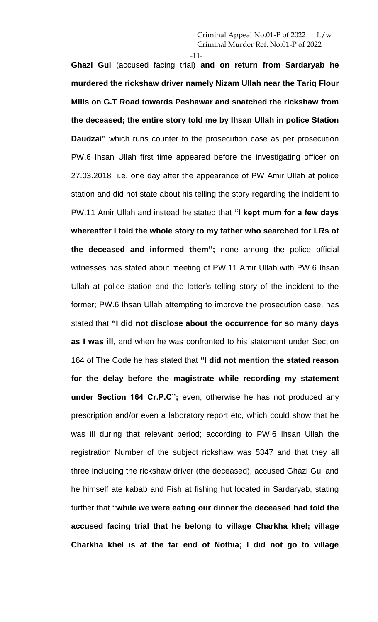-11-

**Ghazi Gul** (accused facing trial) **and on return from Sardaryab he murdered the rickshaw driver namely Nizam Ullah near the Tariq Flour Mills on G.T Road towards Peshawar and snatched the rickshaw from the deceased; the entire story told me by Ihsan Ullah in police Station Daudzai"** which runs counter to the prosecution case as per prosecution PW.6 Ihsan Ullah first time appeared before the investigating officer on 27.03.2018 i.e. one day after the appearance of PW Amir Ullah at police station and did not state about his telling the story regarding the incident to PW.11 Amir Ullah and instead he stated that **"I kept mum for a few days whereafter I told the whole story to my father who searched for LRs of the deceased and informed them";** none among the police official witnesses has stated about meeting of PW.11 Amir Ullah with PW.6 Ihsan Ullah at police station and the latter's telling story of the incident to the former; PW.6 Ihsan Ullah attempting to improve the prosecution case, has stated that **"I did not disclose about the occurrence for so many days as I was ill**, and when he was confronted to his statement under Section 164 of The Code he has stated that **"I did not mention the stated reason for the delay before the magistrate while recording my statement under Section 164 Cr.P.C";** even, otherwise he has not produced any prescription and/or even a laboratory report etc, which could show that he was ill during that relevant period; according to PW.6 Ihsan Ullah the registration Number of the subject rickshaw was 5347 and that they all three including the rickshaw driver (the deceased), accused Ghazi Gul and he himself ate kabab and Fish at fishing hut located in Sardaryab, stating further that **"while we were eating our dinner the deceased had told the accused facing trial that he belong to village Charkha khel; village Charkha khel is at the far end of Nothia; I did not go to village**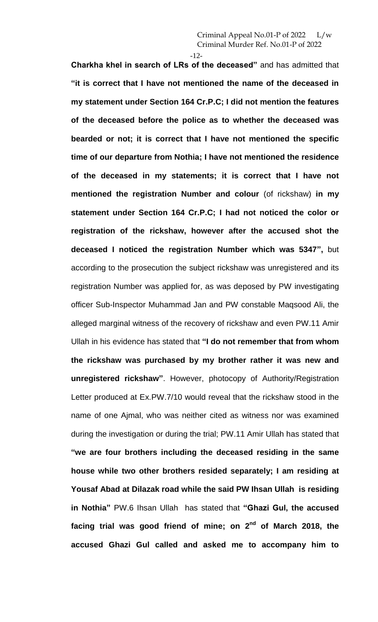$-12-$ 

**Charkha khel in search of LRs of the deceased"** and has admitted that **"it is correct that I have not mentioned the name of the deceased in my statement under Section 164 Cr.P.C; I did not mention the features of the deceased before the police as to whether the deceased was bearded or not; it is correct that I have not mentioned the specific time of our departure from Nothia; I have not mentioned the residence of the deceased in my statements; it is correct that I have not mentioned the registration Number and colour** (of rickshaw) **in my statement under Section 164 Cr.P.C; I had not noticed the color or registration of the rickshaw, however after the accused shot the deceased I noticed the registration Number which was 5347",** but according to the prosecution the subject rickshaw was unregistered and its registration Number was applied for, as was deposed by PW investigating officer Sub-Inspector Muhammad Jan and PW constable Maqsood Ali, the alleged marginal witness of the recovery of rickshaw and even PW.11 Amir Ullah in his evidence has stated that **"I do not remember that from whom the rickshaw was purchased by my brother rather it was new and unregistered rickshaw"**. However, photocopy of Authority/Registration Letter produced at Ex.PW.7/10 would reveal that the rickshaw stood in the name of one Ajmal, who was neither cited as witness nor was examined during the investigation or during the trial; PW.11 Amir Ullah has stated that **"we are four brothers including the deceased residing in the same house while two other brothers resided separately; I am residing at Yousaf Abad at Dilazak road while the said PW Ihsan Ullah is residing in Nothia"** PW.6 Ihsan Ullah has stated that **"Ghazi Gul, the accused facing trial was good friend of mine; on 2nd of March 2018, the accused Ghazi Gul called and asked me to accompany him to**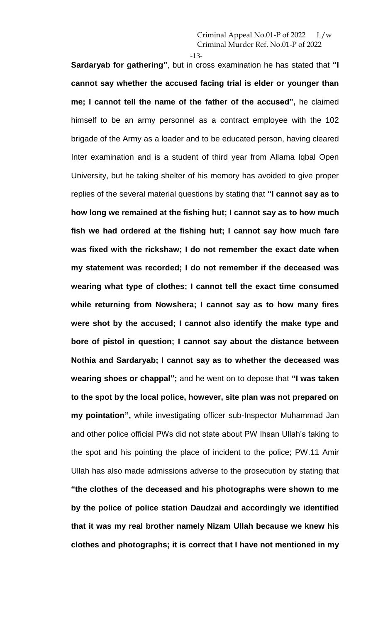-13-

**Sardaryab for gathering"**, but in cross examination he has stated that **"I cannot say whether the accused facing trial is elder or younger than me; I cannot tell the name of the father of the accused",** he claimed himself to be an army personnel as a contract employee with the 102 brigade of the Army as a loader and to be educated person, having cleared Inter examination and is a student of third year from Allama Iqbal Open University, but he taking shelter of his memory has avoided to give proper replies of the several material questions by stating that **"I cannot say as to how long we remained at the fishing hut; I cannot say as to how much fish we had ordered at the fishing hut; I cannot say how much fare was fixed with the rickshaw; I do not remember the exact date when my statement was recorded; I do not remember if the deceased was wearing what type of clothes; I cannot tell the exact time consumed while returning from Nowshera; I cannot say as to how many fires were shot by the accused; I cannot also identify the make type and bore of pistol in question; I cannot say about the distance between Nothia and Sardaryab; I cannot say as to whether the deceased was wearing shoes or chappal";** and he went on to depose that **"I was taken to the spot by the local police, however, site plan was not prepared on my pointation",** while investigating officer sub-Inspector Muhammad Jan and other police official PWs did not state about PW Ihsan Ullah's taking to the spot and his pointing the place of incident to the police; PW.11 Amir Ullah has also made admissions adverse to the prosecution by stating that **"the clothes of the deceased and his photographs were shown to me by the police of police station Daudzai and accordingly we identified that it was my real brother namely Nizam Ullah because we knew his clothes and photographs; it is correct that I have not mentioned in my**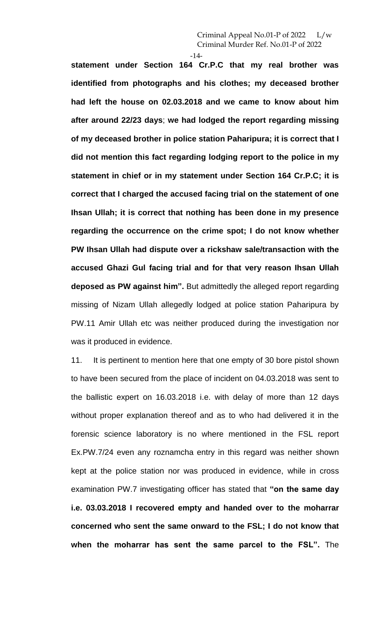$-14-$ 

**statement under Section 164 Cr.P.C that my real brother was identified from photographs and his clothes; my deceased brother had left the house on 02.03.2018 and we came to know about him after around 22/23 days**; **we had lodged the report regarding missing of my deceased brother in police station Paharipura; it is correct that I did not mention this fact regarding lodging report to the police in my statement in chief or in my statement under Section 164 Cr.P.C; it is correct that I charged the accused facing trial on the statement of one Ihsan Ullah; it is correct that nothing has been done in my presence regarding the occurrence on the crime spot; I do not know whether PW Ihsan Ullah had dispute over a rickshaw sale/transaction with the accused Ghazi Gul facing trial and for that very reason Ihsan Ullah deposed as PW against him".** But admittedly the alleged report regarding missing of Nizam Ullah allegedly lodged at police station Paharipura by PW.11 Amir Ullah etc was neither produced during the investigation nor was it produced in evidence.

11. It is pertinent to mention here that one empty of 30 bore pistol shown to have been secured from the place of incident on 04.03.2018 was sent to the ballistic expert on 16.03.2018 i.e. with delay of more than 12 days without proper explanation thereof and as to who had delivered it in the forensic science laboratory is no where mentioned in the FSL report Ex.PW.7/24 even any roznamcha entry in this regard was neither shown kept at the police station nor was produced in evidence, while in cross examination PW.7 investigating officer has stated that **"on the same day i.e. 03.03.2018 I recovered empty and handed over to the moharrar concerned who sent the same onward to the FSL; I do not know that when the moharrar has sent the same parcel to the FSL".** The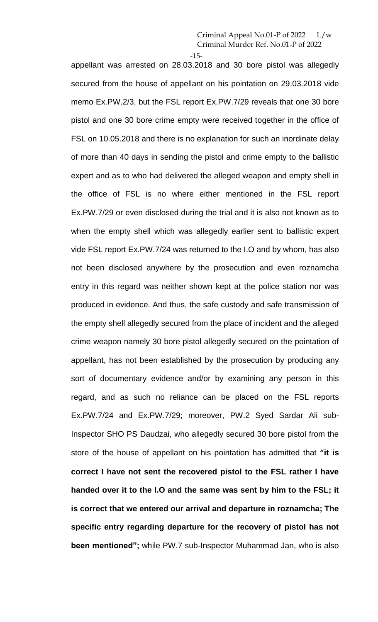-15-

appellant was arrested on 28.03.2018 and 30 bore pistol was allegedly secured from the house of appellant on his pointation on 29.03.2018 vide memo Ex.PW.2/3, but the FSL report Ex.PW.7/29 reveals that one 30 bore pistol and one 30 bore crime empty were received together in the office of FSL on 10.05.2018 and there is no explanation for such an inordinate delay of more than 40 days in sending the pistol and crime empty to the ballistic expert and as to who had delivered the alleged weapon and empty shell in the office of FSL is no where either mentioned in the FSL report Ex.PW.7/29 or even disclosed during the trial and it is also not known as to when the empty shell which was allegedly earlier sent to ballistic expert vide FSL report Ex.PW.7/24 was returned to the I.O and by whom, has also not been disclosed anywhere by the prosecution and even roznamcha entry in this regard was neither shown kept at the police station nor was produced in evidence. And thus, the safe custody and safe transmission of the empty shell allegedly secured from the place of incident and the alleged crime weapon namely 30 bore pistol allegedly secured on the pointation of appellant, has not been established by the prosecution by producing any sort of documentary evidence and/or by examining any person in this regard, and as such no reliance can be placed on the FSL reports Ex.PW.7/24 and Ex.PW.7/29; moreover, PW.2 Syed Sardar Ali sub-Inspector SHO PS Daudzai, who allegedly secured 30 bore pistol from the store of the house of appellant on his pointation has admitted that **"it is correct I have not sent the recovered pistol to the FSL rather I have handed over it to the I.O and the same was sent by him to the FSL; it is correct that we entered our arrival and departure in roznamcha; The specific entry regarding departure for the recovery of pistol has not been mentioned";** while PW.7 sub-Inspector Muhammad Jan, who is also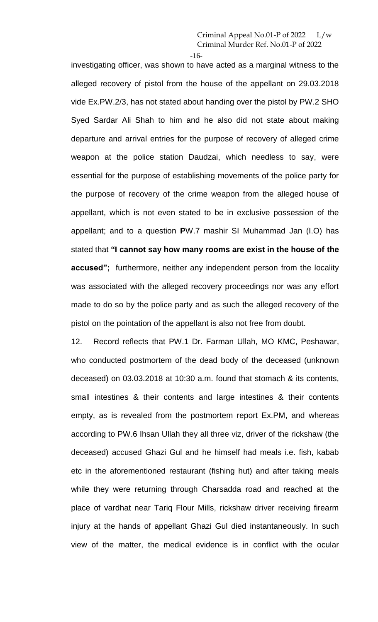-16-

investigating officer, was shown to have acted as a marginal witness to the alleged recovery of pistol from the house of the appellant on 29.03.2018 vide Ex.PW.2/3, has not stated about handing over the pistol by PW.2 SHO Syed Sardar Ali Shah to him and he also did not state about making departure and arrival entries for the purpose of recovery of alleged crime weapon at the police station Daudzai, which needless to say, were essential for the purpose of establishing movements of the police party for the purpose of recovery of the crime weapon from the alleged house of appellant, which is not even stated to be in exclusive possession of the appellant; and to a question **P**W.7 mashir SI Muhammad Jan (I.O) has stated that **"I cannot say how many rooms are exist in the house of the accused";** furthermore, neither any independent person from the locality was associated with the alleged recovery proceedings nor was any effort made to do so by the police party and as such the alleged recovery of the pistol on the pointation of the appellant is also not free from doubt.

12. Record reflects that PW.1 Dr. Farman Ullah, MO KMC, Peshawar, who conducted postmortem of the dead body of the deceased (unknown deceased) on 03.03.2018 at 10:30 a.m. found that stomach & its contents, small intestines & their contents and large intestines & their contents empty, as is revealed from the postmortem report Ex.PM, and whereas according to PW.6 Ihsan Ullah they all three viz, driver of the rickshaw (the deceased) accused Ghazi Gul and he himself had meals i.e. fish, kabab etc in the aforementioned restaurant (fishing hut) and after taking meals while they were returning through Charsadda road and reached at the place of vardhat near Tariq Flour Mills, rickshaw driver receiving firearm injury at the hands of appellant Ghazi Gul died instantaneously. In such view of the matter, the medical evidence is in conflict with the ocular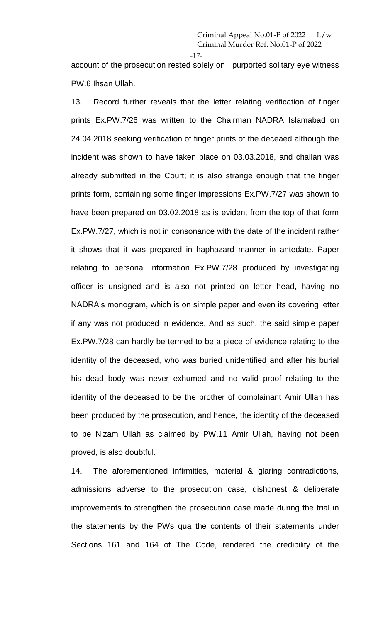-17-

account of the prosecution rested solely on purported solitary eye witness PW.6 Ihsan Ullah.

13. Record further reveals that the letter relating verification of finger prints Ex.PW.7/26 was written to the Chairman NADRA Islamabad on 24.04.2018 seeking verification of finger prints of the deceaed although the incident was shown to have taken place on 03.03.2018, and challan was already submitted in the Court; it is also strange enough that the finger prints form, containing some finger impressions Ex.PW.7/27 was shown to have been prepared on 03.02.2018 as is evident from the top of that form Ex.PW.7/27, which is not in consonance with the date of the incident rather it shows that it was prepared in haphazard manner in antedate. Paper relating to personal information Ex.PW.7/28 produced by investigating officer is unsigned and is also not printed on letter head, having no NADRA's monogram, which is on simple paper and even its covering letter if any was not produced in evidence. And as such, the said simple paper Ex.PW.7/28 can hardly be termed to be a piece of evidence relating to the identity of the deceased, who was buried unidentified and after his burial his dead body was never exhumed and no valid proof relating to the identity of the deceased to be the brother of complainant Amir Ullah has been produced by the prosecution, and hence, the identity of the deceased to be Nizam Ullah as claimed by PW.11 Amir Ullah, having not been proved, is also doubtful.

14. The aforementioned infirmities, material & glaring contradictions, admissions adverse to the prosecution case, dishonest & deliberate improvements to strengthen the prosecution case made during the trial in the statements by the PWs qua the contents of their statements under Sections 161 and 164 of The Code, rendered the credibility of the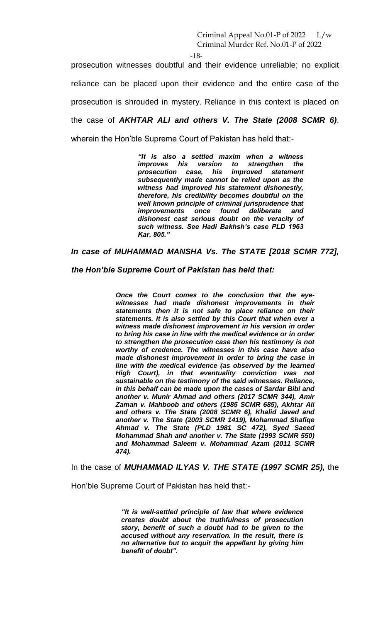-18-

prosecution witnesses doubtful and their evidence unreliable; no explicit reliance can be placed upon their evidence and the entire case of the prosecution is shrouded in mystery. Reliance in this context is placed on the case of *AKHTAR ALI and others V. The State (2008 SCMR 6)*, wherein the Hon'ble Supreme Court of Pakistan has held that:-

> *"It is also a settled maxim when a witness improves his version to strengthen the prosecution case, his improved statement subsequently made cannot be relied upon as the witness had improved his statement dishonestly, therefore, his credibility becomes doubtful on the well known principle of criminal jurisprudence that improvements once found deliberate and dishonest cast serious doubt on the veracity of such witness. See Hadi Bakhsh's case PLD 1963 Kar. 805."*

*In case of MUHAMMAD MANSHA Vs. The STATE [2018 SCMR 772],* 

*the Hon'ble Supreme Court of Pakistan has held that:* 

*Once the Court comes to the conclusion that the eyewitnesses had made dishonest improvements in their statements then it is not safe to place reliance on their statements. It is also settled by this Court that when ever a witness made dishonest improvement in his version in order to bring his case in line with the medical evidence or in order to strengthen the prosecution case then his testimony is not worthy of credence. The witnesses in this case have also made dishonest improvement in order to bring the case in line with the medical evidence (as observed by the learned High Court), in that eventuality conviction was not sustainable on the testimony of the said witnesses. Reliance, in this behalf can be made upon the cases of Sardar Bibi and another v. Munir Ahmad and others (2017 SCMR 344), Amir Zaman v. Mahboob and others (1985 SCMR 685), Akhtar Ali and others v. The State (2008 SCMR 6), Khalid Javed and another v. The State (2003 SCMR 1419), Mohammad Shafiqe Ahmad v. The State (PLD 1981 SC 472), Syed Saeed Mohammad Shah and another v. The State (1993 SCMR 550) and Mohammad Saleem v. Mohammad Azam (2011 SCMR 474).*

In the case of *MUHAMMAD ILYAS V. THE STATE (1997 SCMR 25),* the

Hon'ble Supreme Court of Pakistan has held that:-

*"It is well-settled principle of law that where evidence creates doubt about the truthfulness of prosecution story, benefit of such a doubt had to be given to the accused without any reservation. In the result, there is no alternative but to acquit the appellant by giving him benefit of doubt".*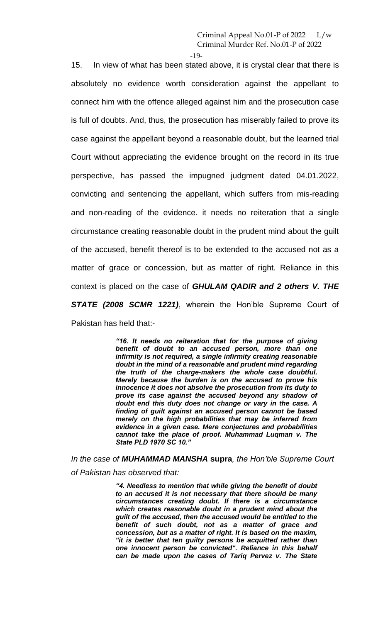-19-

15. In view of what has been stated above, it is crystal clear that there is absolutely no evidence worth consideration against the appellant to connect him with the offence alleged against him and the prosecution case is full of doubts. And, thus, the prosecution has miserably failed to prove its case against the appellant beyond a reasonable doubt, but the learned trial Court without appreciating the evidence brought on the record in its true perspective, has passed the impugned judgment dated 04.01.2022, convicting and sentencing the appellant, which suffers from mis-reading and non-reading of the evidence. it needs no reiteration that a single circumstance creating reasonable doubt in the prudent mind about the guilt of the accused, benefit thereof is to be extended to the accused not as a matter of grace or concession, but as matter of right. Reliance in this context is placed on the case of *GHULAM QADIR and 2 others V. THE STATE (2008 SCMR 1221)*, wherein the Hon'ble Supreme Court of

Pakistan has held that:-

*"16. It needs no reiteration that for the purpose of giving benefit of doubt to an accused person, more than one infirmity is not required, a single infirmity creating reasonable doubt in the mind of a reasonable and prudent mind regarding the truth of the charge-makers the whole case doubtful. Merely because the burden is on the accused to prove his innocence it does not absolve the prosecution from its duty to prove its case against the accused beyond any shadow of doubt end this duty does not change or vary in the case. A finding of guilt against an accused person cannot be based merely on the high probabilities that may be inferred from evidence in a given case. Mere conjectures and probabilities cannot take the place of proof. Muhammad Luqman v. The State PLD 1970 SC 10."*

*In the case of MUHAMMAD MANSHA* **supra***, the Hon'ble Supreme Court of Pakistan has observed that:*

> *"4. Needless to mention that while giving the benefit of doubt to an accused it is not necessary that there should be many circumstances creating doubt. If there is a circumstance which creates reasonable doubt in a prudent mind about the guilt of the accused, then the accused would be entitled to the benefit of such doubt, not as a matter of grace and concession, but as a matter of right. It is based on the maxim, "it is better that ten guilty persons be acquitted rather than one innocent person be convicted". Reliance in this behalf can be made upon the cases of Tariq Pervez v. The State*